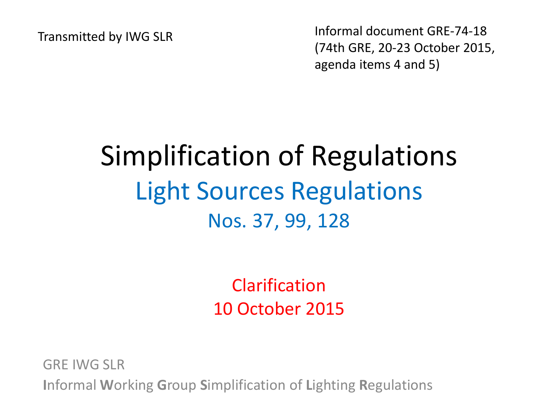Transmitted by IWG SLR Informal document GRE-74-18 (74th GRE, 20-23 October 2015, agenda items 4 and 5)

### Simplification of Regulations Light Sources Regulations Nos. 37, 99, 128

Clarification 10 October 2015

GRE IWG SLR **I**nformal **W**orking **G**roup **S**implification of **L**ighting **R**egulations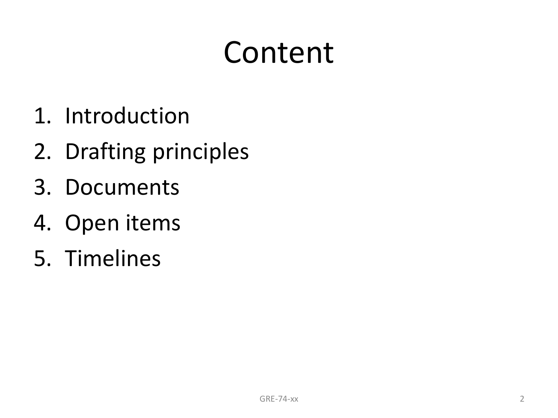## Content

- 1. Introduction
- 2. Drafting principles
- 3. Documents
- 4. Open items
- 5. Timelines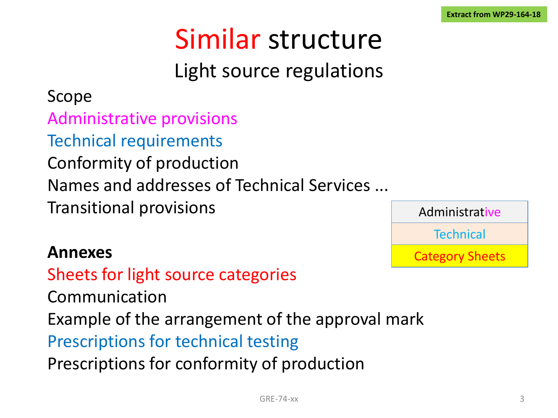## Similar structure

### Light source regulations

#### Scope

Administrative provisions

Technical requirements

Conformity of production

Names and addresses of Technical Services ...

Transitional provisions

#### **Annexes**

Sheets for light source categories Communication Example of the arrangement of the approval mark Prescriptions for technical testing Prescriptions for conformity of production

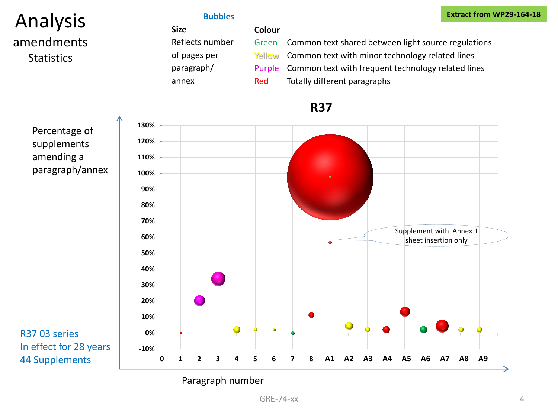#### Analysis amendments **Statistics**

**Bubbles**

#### **Extract from WP29-164-18**

| <b>Size</b>     | Colour |                                                           |
|-----------------|--------|-----------------------------------------------------------|
| Reflects number | Green  | Common text shared between light source regulations       |
| of pages per    |        | Yellow Common text with minor technology related lines    |
| paragraph/      |        | Purple Common text with frequent technology related lines |
| annex           | Red    | Totally different paragraphs                              |

#### **R37**

Percentage of supplements amending a paragraph/annex





#### Paragraph number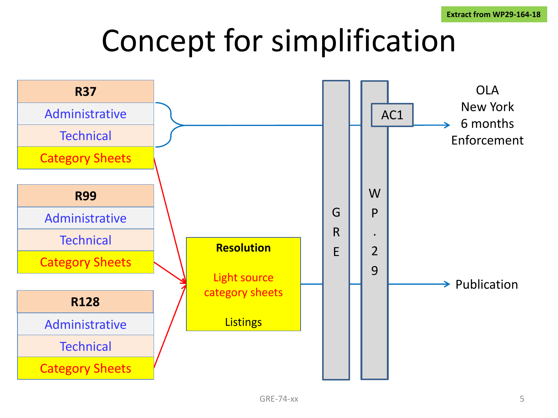## Concept for simplification

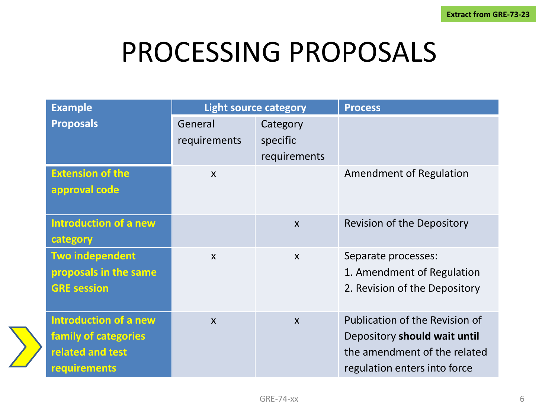### PROCESSING PROPOSALS

| <b>Example</b>                                                                                  | <b>Light source category</b> |                           | <b>Process</b>                                                                                                                 |
|-------------------------------------------------------------------------------------------------|------------------------------|---------------------------|--------------------------------------------------------------------------------------------------------------------------------|
| <b>Proposals</b>                                                                                | General<br>requirements      | Category<br>specific      |                                                                                                                                |
|                                                                                                 |                              | requirements              |                                                                                                                                |
| <b>Extension of the</b><br>approval code                                                        | $\boldsymbol{\mathsf{X}}$    |                           | Amendment of Regulation                                                                                                        |
| <b>Introduction of a new</b><br>category                                                        |                              | $\boldsymbol{\mathsf{X}}$ | Revision of the Depository                                                                                                     |
| <b>Two independent</b><br>proposals in the same<br><b>GRE session</b>                           | $\boldsymbol{\mathsf{X}}$    | $\mathsf{x}$              | Separate processes:<br>1. Amendment of Regulation<br>2. Revision of the Depository                                             |
| <b>Introduction of a new</b><br>family of categories<br>related and test<br><b>requirements</b> | $\boldsymbol{\mathsf{X}}$    | $\boldsymbol{X}$          | Publication of the Revision of<br>Depository should wait until<br>the amendment of the related<br>regulation enters into force |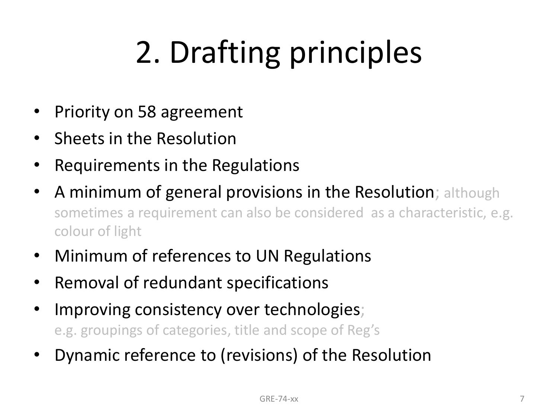# 2. Drafting principles

- Priority on 58 agreement
- Sheets in the Resolution
- Requirements in the Regulations
- A minimum of general provisions in the Resolution; although sometimes a requirement can also be considered as a characteristic, e.g. colour of light
- Minimum of references to UN Regulations
- Removal of redundant specifications
- Improving consistency over technologies; e.g. groupings of categories, title and scope of Reg's
- Dynamic reference to (revisions) of the Resolution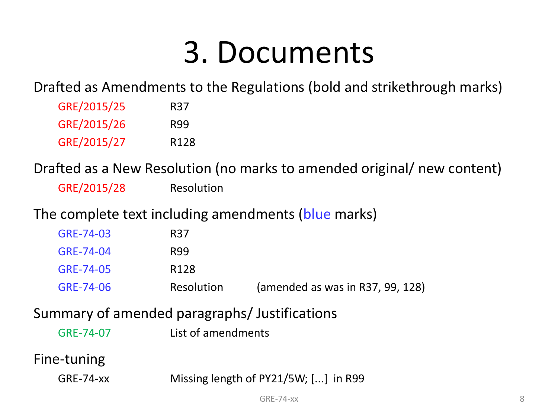## 3. Documents

Drafted as Amendments to the Regulations (bold and strikethrough marks)

| GRE/2015/25 | R37              |
|-------------|------------------|
| GRE/2015/26 | R99              |
| GRE/2015/27 | R <sub>128</sub> |

Drafted as a New Resolution (no marks to amended original/ new content)

GRE/2015/28 Resolution

#### The complete text including amendments (blue marks)

| GRE-74-03 | R37              |                                  |
|-----------|------------------|----------------------------------|
| GRE-74-04 | R99              |                                  |
| GRE-74-05 | R <sub>128</sub> |                                  |
| GRE-74-06 | Resolution       | (amended as was in R37, 99, 128) |

#### Summary of amended paragraphs/ Justifications

#### Fine-tuning

| GRE-74-xx | Missing length of PY21/5W; [] in R99 |
|-----------|--------------------------------------|
|-----------|--------------------------------------|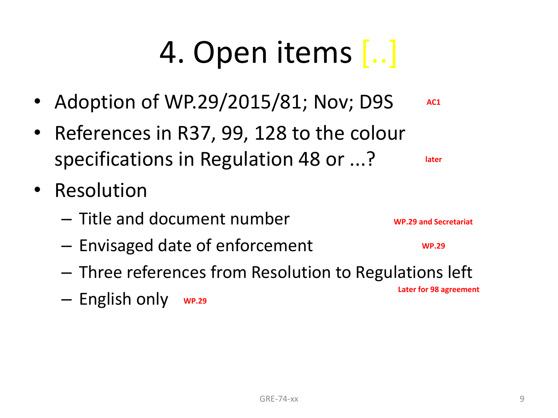# 4. Open items [..]

- Adoption of WP.29/2015/81; Nov; D9S **AC1**
- References in R37, 99, 128 to the colour specifications in Regulation 48 or ...?
- Resolution
	- Title and document number
	- Envisaged date of enforcement
	- Three references from Resolution to Regulations left
	- English only **WP.29**

**later**

**WP.29 and Secretariat**

**WP.29**

**Later for 98 agreement**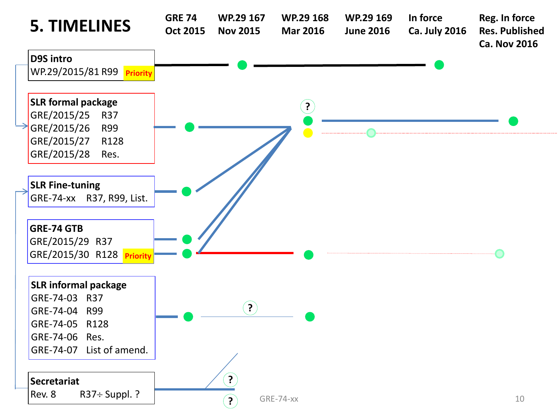